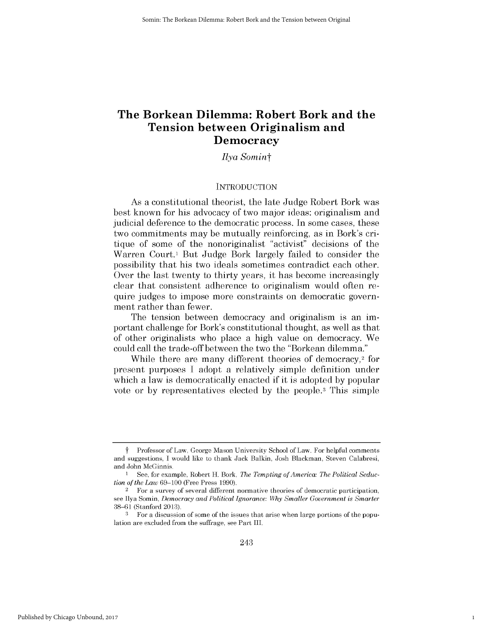# **The Borkean Dilemma: Robert Bork and the Tension between Originalism and Democracy**

*Ilya Somint*

#### **INTRODUCTION**

As a constitutional theorist, the late Judge Robert Bork was best known for his advocacy of two major ideas: originalism and judicial deference to the democratic process. In some cases, these two commitments may be mutually reinforcing, as in Bork's critique of some of the nonoriginalist "activist" decisions of the Warren Court.<sup>1</sup> But Judge Bork largely failed to consider the possibility that his two ideals sometimes contradict each other. Over the last twenty to thirty years, it has become increasingly clear that consistent adherence to originalism would often require judges to impose more constraints on democratic government rather than fewer.

The tension between democracy and originalism is an **im**portant challenge for Bork's constitutional thought, as well as that of other originalists who place a **high** value on democracy. We could call the trade-off between the two the "Borkean dilemma."

While there are many different theories of democracy,<sup>2</sup> for present purposes **I** adopt a relatively simple definition under which a law is democratically enacted **if** it is adopted **by** popular vote or **by** representatives elected **by** the people.3 This simple

1

Professor of Law, George Mason University School of Law. For helpful comments and suggestions, **I** would like to thank Jack Balkin, Josh Blackman, Steven Calabresi, and John McGinnis.

<sup>1</sup> See, for example, Robert H. Bork, *The Tempting of America: The Political Seduction of the Law* **69-100** (Free Press **1990).**

<sup>2</sup>For a survey of several different normative theories of democratic participation, see Ilya Somin, *Democracy and Political Ignorance: Why Smaller Government is Smarter* **38-61** (Stanford **2013).**

**<sup>3</sup>** For a discussion of some of the issues that arise when large portions of the population are excluded from the suffrage, see Part III.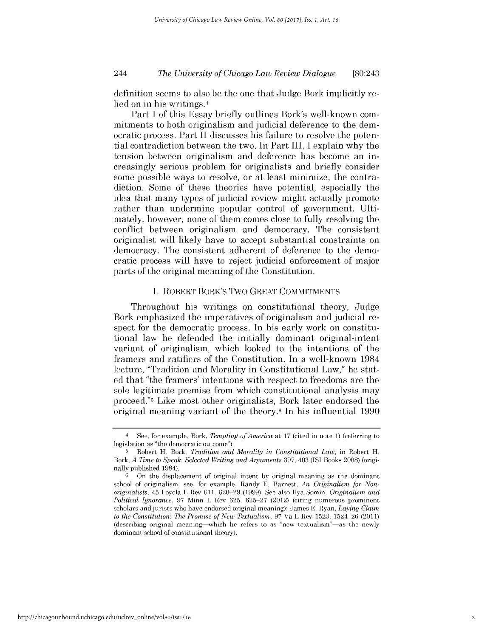# *The University of Chicago Law Review Dialogue* 244 [80:243

definition seems to also be the one that Judge Bork implicitly relied on in his writings.4

Part **I** of this Essay briefly outlines Bork's well-known commitments to both originalism and judicial deference to the democratic process. Part II *discusses his* failure to resolve the potential contradiction between the two. In Part III, I explain why the tension between originalism and deference has become an increasingly serious problem for originalists and briefly consider some possible ways to resolve, or at least minimize, the contradiction. Some of these theories have potential, especially the idea that many types of judicial review might actually promote rather than undermine popular control of government. Ultimately, however, none of them comes close to fully resolving the conflict between originalism and democracy. The consistent originalist will likely have to accept substantial constraints on democracy. The consistent adherent of deference to the democratic process will have to reject judicial enforcement of major parts of the original meaning of the Constitution.

#### **I.** ROBERT BORK'S Two GREAT **COMMITMENTS**

Throughout his writings on constitutional theory, Judge Bork emphasized the imperatives of originalism and judicial respect for the democratic process. In his early work on constitutional law he defended the initially dominant original-intent variant of originalism, which looked to the intentions of the framers and ratifiers of the Constitution. In a well-known 1984 lecture, "Tradition and Morality in Constitutional Law," he stated that "the framers' intentions with respect to freedoms are the sole legitimate premise from which constitutional analysis may proceed."5 Like most other originalists, Bork later endorsed the original meaning variant of the theory.6 In his influential **1990**

<sup>4</sup>**See,** for example, Bork, *Tempting of America* at **17** (cited in note **1)** (referring to legislation as "the democratic outcome").

**<sup>5</sup>**Robert H. Bork, *Tradition and Morality in Constitutional Law,* in Robert H. Bork, *A Time to Speak: Selected Writing and Arguments* **397,** 403 **(ISI** Books **2008)** (originally published 1984).

**<sup>6</sup>**On the displacement of original intent **by** original meaning as the dominant school of originalism, see, for example, Randy **E.** Barnett, *An Originalism for Nonoriginalists,* 45 Loyola L Rev **611, 620-29 (1999).** See also Ilya Somin, *Originalism and Political Ignorance,* **97** Minn L Rev **625, 625-27** (2012) (citing numerous prominent scholars and jurists who have endorsed original meaning); James **E.** Ryan, *Laying Claim to the Constitution: The Promise of New Textualism,* **97** Va L Rev **1523,** 1524-26 (2011) (describing original meaning-which he refers to as "new textualism"-as the newly dominant school of constitutional theory).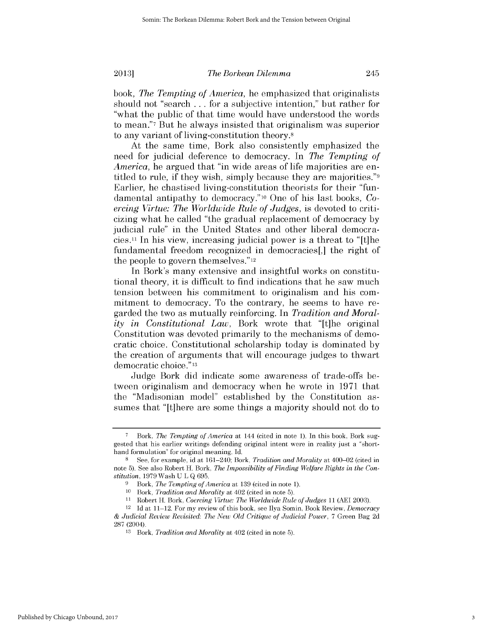book, *The Tempting of America,* he emphasized that originalists should not "search **...** for a subjective intention," but rather for "what the public of that time would have understood the words to mean."7 But he always insisted that originalism was superior to any variant of living-constitution theory.8

At the same time, Bork also consistently emphasized the need for judicial deference to democracy. In *The Tempting of America,* he argued that "in wide areas of life majorities are entitled to rule, **if** they wish, simply because they are majorities."9 Earlier, he chastised living-constitution theorists for their "fundamental antipathy to democracy."10 One of his last books, *Coercing Virtue: The Worldwide Rule of Judges, is devoted to criti*cizing what he called "the gradual replacement of democracy **by** judicial rule" in the United States and other liberal democracies.11 In his view, increasing judicial power is a threat to "[t]he fundamental freedom recognized in democracies[,] the right of the people to govern themselves." 12

In Bork's many extensive and insightful works on constitutional theory, it is difficult to find indications that he saw much tension between his commitment to originalism and his **com**mitment to democracy. To the contrary, he seems to have regarded the two as mutually reinforcing. In *Tradition and Morality in Constitutional Law,* Bork wrote that "[t]he original Constitution was devoted primarily to the mechanisms of democratic choice. Constitutional scholarship today is dominated **by** the creation of arguments that will encourage judges to thwart democratic choice."13

Judge Bork **did** indicate some awareness of trade-offs between originalism and democracy when he wrote in **1971** that the "Madisonian model" established **by** the Constitution assumes that "[t]here are some things a majority should not do to

**<sup>7</sup>** Bork, *The Tempting of America at* 144 (cited in note **1).** In this book, Bork suggested that his earlier writings defending original intent were in reality just a "shorthand formulation" for original meaning. **Id.**

**<sup>8</sup>**See, for example, id at 161-240; Bork, *Tradition and Morality* at 400-02 (cited in note **5).** See also Robert H. Bork, *The Impossibility of Finding Welfare Rights in the Constitution,* **1979** Wash **UL Q 695.**

**<sup>9</sup>** Bork, *The Tempting of America* at **139** (cited in note **1).**

**<sup>10</sup>***Bork, Tradition and Morality* at 402 (cited in note **5).**

**<sup>11</sup>** Robert H. Bork, *Coercing Virtue: The Worldwide Rule of Judges 11* **(AEI 2003).**

<sup>12</sup>**Id** at 11-12. For my review of this book, see Ilya Somin, Book Review, *Democracy & Judicial Review Revisited: The New Old Critique of Judicial Power,* **7** Green Bag **2d 287 (2004).**

**<sup>13</sup>**Bork, *Tradition and Morality* at 402 (cited in note **5).**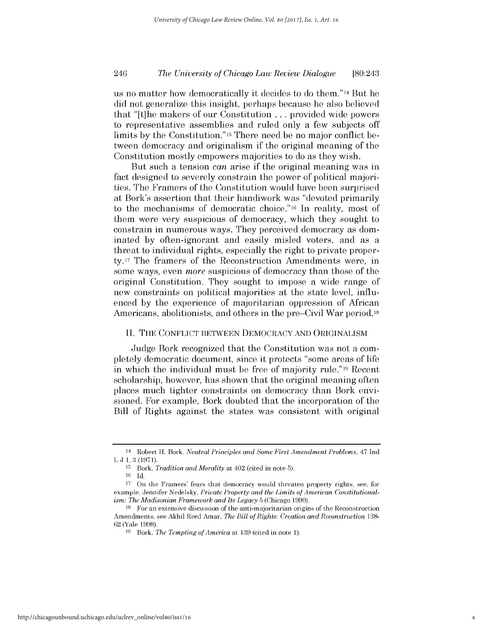# *The University of Chicago Law Review Dialogue* 246 [80:243

us no matter how democratically it decides to do them." 14 But he **did** not generalize this insight, perhaps because he also believed that "[t]he makers of our Constitution **...** provided wide powers to representative assemblies and ruled only a few subjects off limits **by** the Constitution."15 There need be no major conflict between democracy and originalism **if** the original meaning of the Constitution mostly empowers majorities to do as they wish.

But such a tension *can* arise **if** the original meaning was in fact designed to severely constrain the power of political majorities. The Framers of the Constitution would have been surprised at Bork's assertion that their handiwork was "devoted primarily to the mechanisms of democratic choice."16 In reality, most of them were very suspicious of democracy, which they sought to constrain in numerous ways. They perceived democracy as dominated **by** often-ignorant and easily misled voters, and as a threat to individual rights, especially the right to private property. 17 The framers of the Reconstruction Amendments were, in some ways, even *more* suspicious of democracy than those of the original Constitution. They sought to impose a wide range of new constraints on political majorities at the state level, influenced **by** the experience of majoritarian oppression of African Americans, abolitionists, and others in the pre-Civil War period.<sup>18</sup>

#### **II. THE CONFLICT BETWEEN** DEMOCRACY **AND ORIGINALISM**

Judge Bork recognized that the Constitution was not a completely democratic document, since it protects "some areas of life in which the individual must be free of majority rule."19 Recent scholarship, however, has shown that the original meaning often places much tighter constraints on democracy than Bork envisioned. For example, Bork doubted that the incorporation of the Bill of Rights against the states was consistent with original

<sup>14</sup> Robert H. Bork, *Neutral Principles and Some First Amendment Problems, 47* Ind L **J 1, 3 (1971).**

**<sup>15</sup>**Bork, *Tradition and Morality* at 402 (cited in note **5).**

**<sup>16</sup> Id.**

**<sup>17</sup>**On the Framers' fears that democracy would threaten property rights, see, for example, Jennifer Nedelsky, *Private Property and the Limits of American Constitutionalism: The Madisonian Framework and Its Legacy* **5** (Chicago **1990).**

**<sup>18</sup>**For an extensive discussion of the anti-majoritarian origins of the Reconstruction Amendments, see Akhil Reed Amar, *The Bill of Rights: Creation and Reconstruction 138-* **62** (Yale **1998).**

**<sup>19</sup>**Bork, *The Tempting of America* at **139** (cited in note **1).**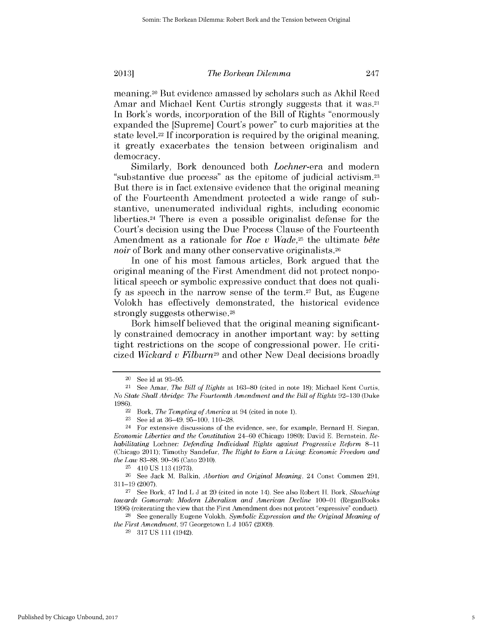*The Borkean Dilemma*

meaning. 20 But evidence amassed **by** scholars such as **Akhil** Reed Amar and Michael Kent Curtis strongly suggests that it was.<sup>21</sup> In Bork's words, incorporation of the Bill of Rights "enormously expanded the [Supreme] Court's power" to curb majorities at the state level.22 **If** incorporation is required **by** the original meaning, it greatly exacerbates the tension between originalism and democracy.

Similarly, Bork denounced both *Lochner-era* and modern "substantive due process" as the epitome of judicial activism. <sup>23</sup> But there is in fact extensive evidence that the original meaning of the Fourteenth Amendment protected a wide range of substantive, unenumerated individual rights, including economic liberties.24 There is even a possible originalist defense for the Court's decision using the Due Process Clause of the Fourteenth Amendment as a rationale for *Roe v Wade*,<sup>25</sup> the ultimate *bête noir* of Bork and many other conservative originalists.<sup>26</sup>

In one of his most famous articles, Bork argued that the original meaning of the First Amendment **did** not protect nonpolitical speech or symbolic expressive conduct that does not qualify as speech in the narrow sense of the term.<sup>27</sup> But, as Eugene Volokh has effectively demonstrated, the historical evidence strongly suggests otherwise.28

Bork himself believed that the original meaning significant**ly** constrained democracy in another important way: **by** setting tight restrictions on the scope of congressional power. He criticized *Wickard u Filburn29* and other New Deal decisions broadly

**2013]**

**<sup>28</sup>**See generally Eugene Volokh, *Symbolic Expression and the Original Meaning of the First Amendment,* **97** Georgetown L **J 1057 (2009).**

**29 317 US 111** (1942).

<sup>20</sup>**See** id at **93-95.**

<sup>21</sup> See Amar, *The Bill of Rights* at **163-80** (cited in note **18);** Michael Kent Curtis, *No State Shall Abridge: The Fourteenth Amendment and the Bill of Rights* **92-130** (Duke **1986).**

<sup>22</sup> Bork, *The Tempting of America* at 94 (cited in note **1).**

**<sup>23</sup>**See id at 36-49, **95-100, 110-28.**

<sup>24</sup> For extensive discussions of the evidence, see, for example, Bernard H. Siegan, *Economic Liberties and the Constitution* 24-60 (Chicago **1980);** David **E.** Bernstein, *Rehabilitating Lochner: Defending Individual Rights against Progressive Reform 8-11* (Chicago 2011); Timothy Sandefur, *The Right to Earn a Living: Economic Freedom and the Law* **83-88, 90-96** (Cato 2010). **25 410 US 113 (1973).**

**<sup>26</sup>**See Jack M. Balkin, *Abortion and Original Meaning,* 24 Const Commen **291, 311-19 (2007). 27 See** Bork, 47 Ind L **J** at 20 (cited in note 14). See also Robert H. Bork, *Slouching*

*towards Gomorrah: Modern Liberalism and American Decline* **100-01** (ReganBooks **1996)** (reiterating the view that the First Amendment does not protect "expressive" conduct).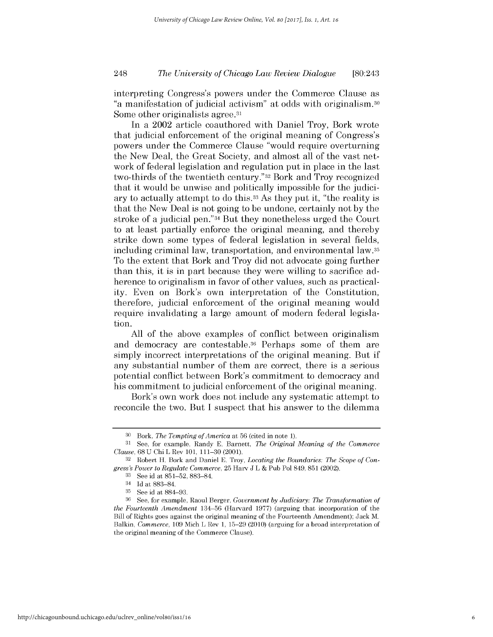# *The University of Chicago Law Review Dialogue* 248 [80:243

interpreting Congress's powers under the Commerce Clause as "a manifestation of judicial activism" at odds with originalism.30 Some other originalists agree.<sup>31</sup>

In a 2002 article coauthored with Daniel Troy, Bork wrote that judicial enforcement of the original meaning of Congress's powers under the Commerce Clause "would require overturning the New Deal, the Great Society, and almost all of the vast network of federal legislation and regulation put in place in the last two-thirds of the twentieth century."32 Bork and Troy recognized that it would be unwise and politically impossible for the judiciary to actually attempt to do this.33 As they put it, "the reality **is** that the New Deal is not going to be undone, certainly not **by** the stroke of a judicial pen."34 But they nonetheless urged the Court to at least partially enforce the original meaning, and thereby strike down some types of federal legislation in several fields, including criminal law, transportation, and environmental law.35 To the extent that Bork and Troy **did** not advocate going further than this, it *is* in part because they were willing to sacrifice adherence to originalism in favor of other values, such as practicality. Even on Bork's own interpretation of the Constitution, therefore, judicial enforcement of the original meaning would require invalidating a large amount of modern federal legislation.

**All** of the above examples of conflict between originalism and democracy are contestable.36 Perhaps some of them are simply incorrect interpretations of the original meaning. But **if** any substantial number of them are correct, there is a serious potential conflict between Bork's commitment to democracy and his commitment to judicial enforcement of the original meaning.

Bork's **own** work does not include any systematic attempt to reconcile the two. But **I** suspect that his answer to the dilemma

**<sup>30</sup>**Bork, *The Tempting of America at* **56** (cited in note **1).**

**<sup>31</sup>**See, for example, Randy **E.** Barnett, *The Original Meaning of the Commerce Clause,* **68 U** Chi L Rev **101, 111-30** (2001).

**<sup>32</sup>** Robert H. Bork and Daniel **E.** Troy, *Locating the Boundaries: The Scope of Congress's Power to Regulate Commerce,* **25** Harv **J** L **&** Pub Pol 849, **851** (2002).

**<sup>33</sup>**See id at **851-52, 883-84.**

<sup>34</sup>**Id** at **883-84.**

**<sup>35</sup>**See id at **884-93.**

**<sup>36</sup>**See, for example, Raoul Berger, *Government by Judiciary: The Transformation of the Fourteenth Amendment* **134-56** (Harvard **1977)** (arguing that incorporation of the Bill of Rights goes against the original meaning of the Fourteenth Amendment); Jack M. Balkin, *Commerce,* **109** Mich L Rev **1, 15-29** (2010) (arguing for a broad interpretation of the original meaning of the Commerce Clause).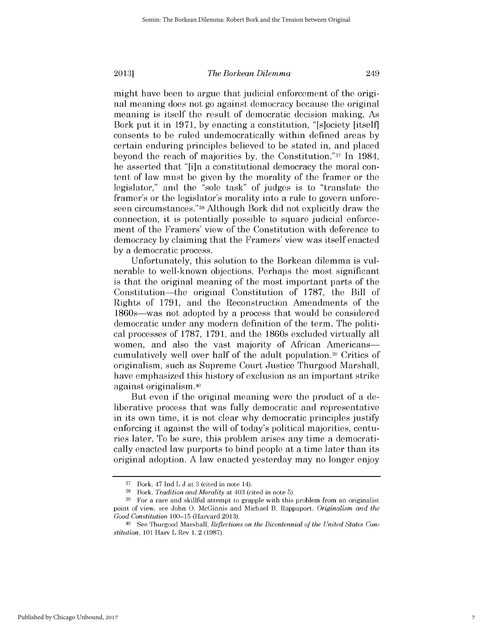might have been to argue that judicial enforcement of the original meaning does not go against democracy because the original meaning is itself the result of democratic decision making. As Bork put it in **1971, by** enacting a constitution, "[s]ociety [itself] consents to be ruled undemocratically within defined areas **by** certain enduring principles believed to be stated in, and placed beyond the reach of majorities **by,** the Constitution."37 In 1984, he asserted that "[i]n a constitutional democracy the moral content of law must be given **by** the morality of the framer or the legislator," and the "sole task" of judges is to "translate the framer's or the legislator's morality into a rule to govern unforeseen circumstances."38 Although Bork **did** not explicitly draw the connection, it is potentially possible to square judicial enforcement of the Framers' view of the Constitution with deference to democracy **by** claiming that the Framers' view was itself enacted **by** a democratic process.

Unfortunately, this solution to the Borkean dilemma is vulnerable to well-known objections. Perhaps the most significant is that the original meaning of the most important parts of the Constitution-the original Constitution of **1787,** the Bill of Rights of **1791,** and the Reconstruction Amendments of the 1860s-was not adopted **by** a process that would be considered democratic under any modern definition of the term. The political processes of **1787, 1791,** and the 1860s excluded virtually all women, and also the vast majority of African Americanscumulatively well over half of the adult population.39 Critics of originalism, such as Supreme Court Justice Thurgood Marshall, have emphasized this history of exclusion as an important strike against originalism.40

But even **if** the **original meaning** were the product of a deliberative process that was fully democratic and representative in its own time, it is not clear why democratic principles justify enforcing it against the will of today's political majorities, centuries later. To be sure, this problem arises any time a democratically enacted law purports to bind people at a time later than its original adoption. **A** law enacted yesterday may no longer enjoy

**<sup>37</sup>**Bork, 47 Ind L **J** at **3** (cited in note 14).

**<sup>38</sup>**Bork, *Tradition and Morality at* 403 (cited in note **5).**

**<sup>39</sup>**For a rare and skillful attempt to grapple with this problem from an originalist point of view, see John **0.** McGinnis and Michael B. Rappaport, *Originalism and the Good Constitution* **100-15** (Harvard **2013).**

<sup>40</sup> **See** Thurgood Marshall, *Reflections on the Bicentennial of the United States Constitution, 101* Harv L Rev **1,** 2 **(1987).**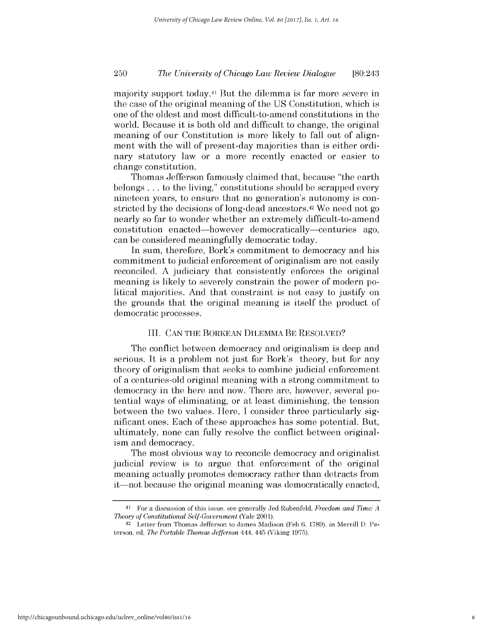# *The University of Chicago Law Review Dialogue* **250** [80:243

majority support today.41 But the dilemma is far more severe in the case of the original meaning of the **US** Constitution, which **is** one of the oldest and most difficult-to-amend constitutions in the world. Because it is both old and difficult to change, the original meaning of our Constitution is more likely to fall out of alignment with the will of present-day majorities than is either ordinary statutory law or a more recently enacted or easier to change constitution.

Thomas Jefferson famously claimed that, because "the earth belongs **...** to the living," constitutions should be scrapped every nineteen years, to ensure that no generation's autonomy is constricted **by** the decisions of long-dead ancestors. 42 We need not go nearly so far to wonder whether an extremely difficult-to-amend constitution enacted-however democratically-centuries ago, can be considered meaningfully democratic today.

In sum, therefore, Bork's commitment to democracy and his commitment to judicial enforcement of originalism are not easily reconciled. **A** judiciary that consistently enforces the original meaning is likely to severely constrain the power of modern political majorities. And that constraint is not easy to justify on the grounds that the original meaning is itself the product of democratic processes.

#### III. **CAN** THE BORKEAN DILEMMA BE RESOLVED?

The conflict between democracy and originalism is deep and serious. It *is* a problem not just for Bork's theory, but for any theory of originalism that seeks to combine judicial enforcement of a centuries-old original meaning with a strong commitment to democracy in the here and now. There are, however, several potential ways of eliminating, or at least diminishing, the tension between the two values. Here, **I** consider three particularly significant ones. Each of these approaches has some potential. But, ultimately, none can fully resolve the conflict between originalism and democracy.

The most obvious way to reconcile democracy and originalist judicial review is to argue that enforcement of the original meaning actually promotes democracy rather than detracts from it—not because the original meaning was democratically enacted,

**<sup>41</sup>**For a discussion of this issue, see generally Jed Rubenfeld, *Freedom and Time: A Theory of Constitutional Self-Government* (Yale 2001).

**<sup>42</sup>**Letter from Thomas Jefferson to James Madison (Feb **6, 1789),** in Merrill **D.** Peterson, ed, *The Portable Thomas Jefferson 444,* 445 (Viking **1975).**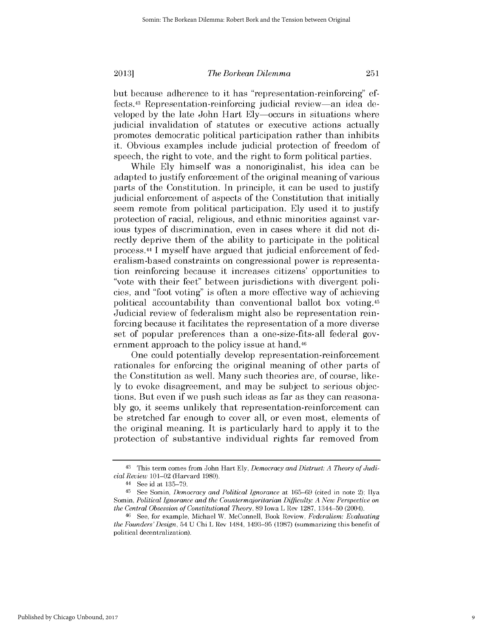but because adherence to it has "representation-reinforcing" effects.43 Representation-reinforcing judicial review-an idea developed **by** the late John Hart Ely-occurs in situations where judicial invalidation of statutes or executive actions actually promotes democratic political participation rather than inhibits it. Obvious examples include judicial protection of freedom of speech, the right to vote, and the right to form political parties.

While **Ely** himself was a nonoriginalist, his idea can be adapted to justify enforcement of the original meaning of various parts of the Constitution. In principle, it can be used to justify judicial enforcement of aspects of the Constitution that initially seem remote from political participation. **Ely** used it to justify protection of racial, religious, and ethnic minorities against various types of discrimination, even in cases where it **did** not **di**rectly deprive them of the ability to participate in the political process. 44 I myself have argued that judicial enforcement of federalism-based constraints on congressional power is representation reinforcing because it increases citizens' opportunities to "vote with their feet" between jurisdictions with divergent policies, and "foot voting" is often a more effective way of achieving political accountability than conventional ballot box voting.45 Judicial review of federalism might also be representation reinforcing because it facilitates the representation of a more diverse set of popular preferences than a one-size-fits-all federal government approach to the policy issue at hand.46

One could potentially develop representation-reinforcement rationales for enforcing the original meaning of other parts of the Constitution as well. Many such theories are, of course, like**ly** to evoke disagreement, and may be subject to serious objections. But even **if** we push such ideas as far as they can reasona**bly** go, it seems unlikely that representation-reinforcement can be stretched far enough to cover all, or even most, elements of the original meaning. It is particularly hard to apply it to the protection of substantive individual rights far removed from

**<sup>43</sup>**This term comes from John Hart **Ely,** *Democracy and Distrust: A Theory of Judicial Review* 101-02 (Harvard **1980).**

<sup>44</sup>**See** id at **135-79.**

<sup>45</sup> See Somin, *Democracy and Political Ignorance* at **165-69** (cited in note 2); Ilya Somin, *Political Ignorance and the Countermajoritarian Difficulty: A New Perspective on the Central Obsession of Constitutional Theory,* **89** Iowa L Rev **1287,** 1344-50 (2004).

**<sup>46</sup>See,** for example, Michael W. McConnell, Book Review, *Federalism: Evaluating the Founders'Design,* 54 **U** Chi L Rev 1484, **1493-95 (1987)** (summarizing this benefit of political decentralization).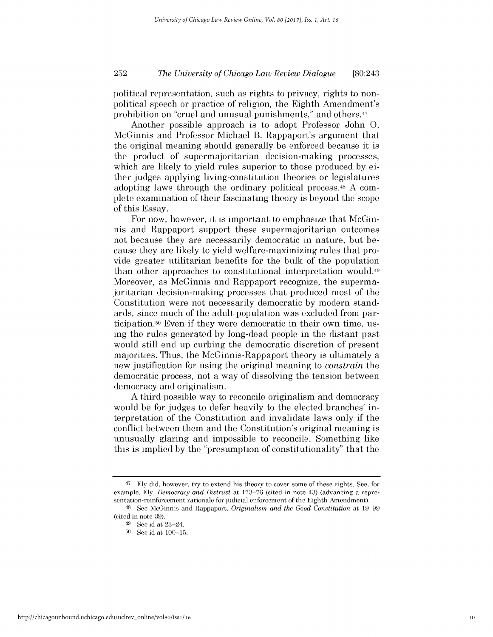# *The University of Chicago Law Review Dialogue* **252** [80:243

political representation, such as rights to privacy, rights to nonpolitical speech or practice of religion, the Eighth Amendment's prohibition on "cruel and unusual punishments," and others.<sup>47</sup>

Another possible approach is to adopt Professor John **0.** McGinnis and Professor Michael B. Rappaport's argument that the original meaning should generally be enforced because it **is** the product of supermajoritarian decision-making processes, which are likely to yield rules superior to those produced **by** either judges applying living-constitution theories or legislatures adopting laws through the ordinary political process.48 **A** complete examination of their fascinating theory is beyond the scope of this Essay.

For now, however, it is important to emphasize that McGinnis and Rappaport support these supermajoritarian outcomes not because they are necessarily democratic in nature, but because they are likely to yield welfare-maximizing rules that provide greater utilitarian benefits for the bulk of the population than other approaches to constitutional interpretation would.49 Moreover, as McGinnis and Rappaport recognize, the supermajoritarian decision-making processes that produced most of the Constitution were not necessarily democratic **by** modern standards, since much of the adult population was excluded from participation.50 Even **if** they were democratic in their own time, **us**ing the rules generated **by** long-dead people in the distant past would still end up curbing the democratic discretion of present majorities. Thus, the McGinnis-Rappaport theory is ultimately a new justification for using the original meaning to *constrain* the democratic process, not a way of dissolving the tension between democracy and originalism.

**A** third possible way to reconcile **originalism** and democracy would be for judges to defer heavily to the elected branches' interpretation of the Constitution and invalidate laws only **if** the conflict between them and the Constitution's original meaning **is** unusually glaring and impossible to reconcile. Something like *this* is implied **by** the "presumption of constitutionality" that the

<sup>47</sup>**Ely** did, however, try to extend his theory to cover some of these rights. See, for example, **Ely,** *Democracy and Distrust* at **173-76** (cited in note 43) (advancing a representation-reinforcement rationale for judicial enforcement of the Eighth Amendment).

<sup>48</sup>**See** McGinnis and Rappaport, *Originalism and the Good Constitution* at **19-99** (cited in note **39).**

<sup>49</sup>**See** id at 23-24.

**<sup>50</sup> See** id at **100-15.**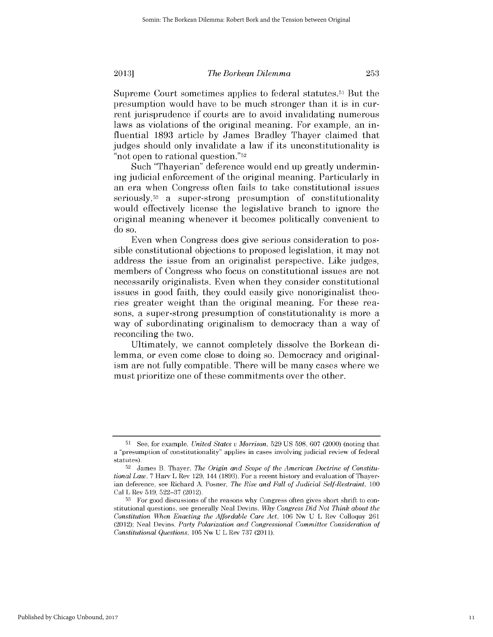Supreme Court sometimes applies to federal statutes.51 But the presumption would have to be much stronger than it is in current jurisprudence **if** courts are to avoid invalidating numerous laws as violations of the original meaning. For example, an influential **1893** article **by** James Bradley Thayer claimed that judges should only invalidate a law **if** its unconstitutionality **is** "not open to rational question."52

Such "Thayerian" deference would end up greatly undermining judicial enforcement of the original meaning. Particularly in an era when Congress often fails to take constitutional issues seriously,53 a super-strong presumption of constitutionality would effectively license the legislative branch to ignore the original meaning whenever it becomes politically convenient to do so.

Even when Congress does give serious consideration to possible constitutional objections to proposed legislation, it may not address the issue from an originalist perspective. Like judges, members of Congress who focus on constitutional issues are not necessarily originalists. Even when they consider constitutional issues in good faith, they could easily give nonoriginalist theories greater weight than the original meaning. For these reasons, a super-strong presumption of constitutionality is more a way of subordinating originalism to democracy than a way of reconciling the two.

Ultimately, we cannot completely dissolve the Borkean **di**lemma, or even come close to doing so. Democracy and originalism are not fully compatible. There will be many cases where we must prioritize one of these commitments over the other.

**<sup>51</sup> See,** for example, *United States u Morrison,* **529 US 598, 607** (2000) (noting that a "presumption of constitutionality" applies in cases involving judicial review of federal statutes).

**<sup>52</sup>** James B. Thayer, *The Origin and Scope of the American Doctrine of Constitutional Law,* **7** Harv L Rev **129,** 144 **(1893).** For a recent history and evaluation of Thayerian deference, see Richard **A** Posner, *The Rise and Fall of Judicial Self-Restraint, 100* Cal L Rev **519, 522-37** (2012).

**<sup>53</sup>** For good discussions of the reasons why Congress often gives short shrift to constitutional questions, see generally Neal Devins, *Why Congress Did Not Think about the Constitution When Enacting the Affordable Care Act,* **106** Nw **U** L Rev Colloquy **261** (2012); Neal Devins, *Party Polarization and Congressional Committee Consideration of Constitutional Questions,* **105** Nw **U** L Rev **737 (2011).**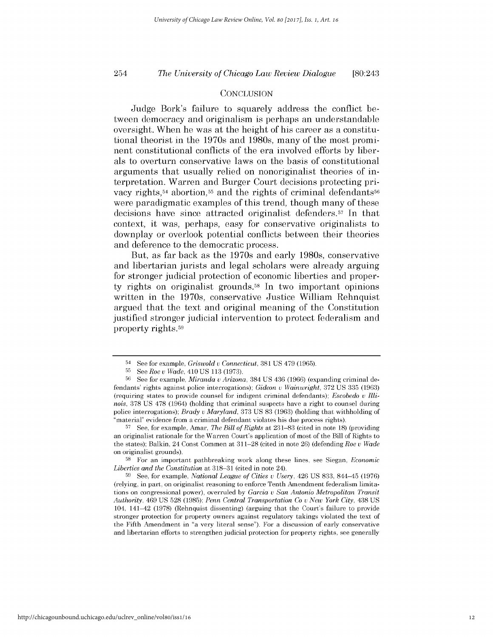# *The University of Chicago Law Review Dialogue* 254 [80:243

#### **CONCLUSION**

Judge Bork's failure to squarely address the conflict between democracy and originalism is perhaps an understandable oversight. When he was at the height of his career as a constitutional theorist in the 1970s and 1980s, many of the most prominent constitutional conflicts of the era involved efforts **by** liberals to overturn conservative laws on the basis of constitutional arguments that usually relied on nonoriginalist theories of interpretation. Warren and Burger Court decisions protecting privacy rights,<sup>54</sup> abortion,<sup>55</sup> and the rights of criminal defendants<sup>56</sup> were paradigmatic examples of this trend, though many of these decisions have since attracted originalist defenders.57 In that context, it was, perhaps, easy for conservative originalists to downplay or overlook potential conflicts between their theories and deference to the democratic process.

But, as far back as the 1970s and early 1980s, conservative and libertarian jurists and legal scholars were already arguing for stronger judicial protection of economic liberties and property rights on originalist grounds.<sup>58</sup> In two important opinions written in the 1970s, conservative Justice William Rehnquist argued that the text and original meaning of the Constitution justified stronger judicial intervention to protect federalism and property rights.59

**57 See,** for example, Amar, *The Bill of Rights* at **231-83** (cited in note **18)** (providing an originalist rationale for the Warren Court's application of most of the Bill of Rights to the states); Balkin, 24 Const Commen at **311-28** (cited in note **26)** (defending *Roe* v *Wade* on originalist grounds).

**<sup>58</sup>**For an important pathbreaking work along these lines, see Siegan, *Economic Liberties and the Constitution* at **318-31** (cited in note 24).

<sup>54</sup>**See** for example, *Griswold v Connecticut,* **381 US** 479 **(1965).**

**<sup>55</sup>See** *Roe v Wade,* 410 **US 113 (1973).**

**<sup>56</sup>** See for example, *Miranda v Arizona,* 384 **US** 436 **(1966)** (expanding criminal defendants' rights against police interrogations); *Gideon v Wainwright,* **372 US 335 (1963)** (requiring states to provide counsel for indigent criminal defendants); *Escobedo U Illinois,* **378 US 478** (1964) (holding that criminal suspects have a right to counsel during police interrogations); *Brady v Maryland,* **373 US 83 (1963)** (holding that withholding of "material" evidence from a criminal defendant violates his due process rights).

**<sup>59</sup>**See, for example, *National League of Cities u Usery,* 426 **US 833,** 844-45 **(1976)** (relying, in part, on originalist reasoning to enforce Tenth Amendment federalism limitations on congressional power), overruled **by** *Garcia v San Antonio Metropolitan Transit Authority,* 469 **US 528 (1985);** *Penn Central Transportation Co v New York City,* 438 **US** 104, 141-42 **(1978)** (Rehnquist dissenting) (arguing that the Court's failure to provide stronger protection for property owners against regulatory takings violated the text of the Fifth Amendment in "a very literal sense"). For a discussion of early conservative and libertarian efforts to strengthen judicial protection for property rights, see generally